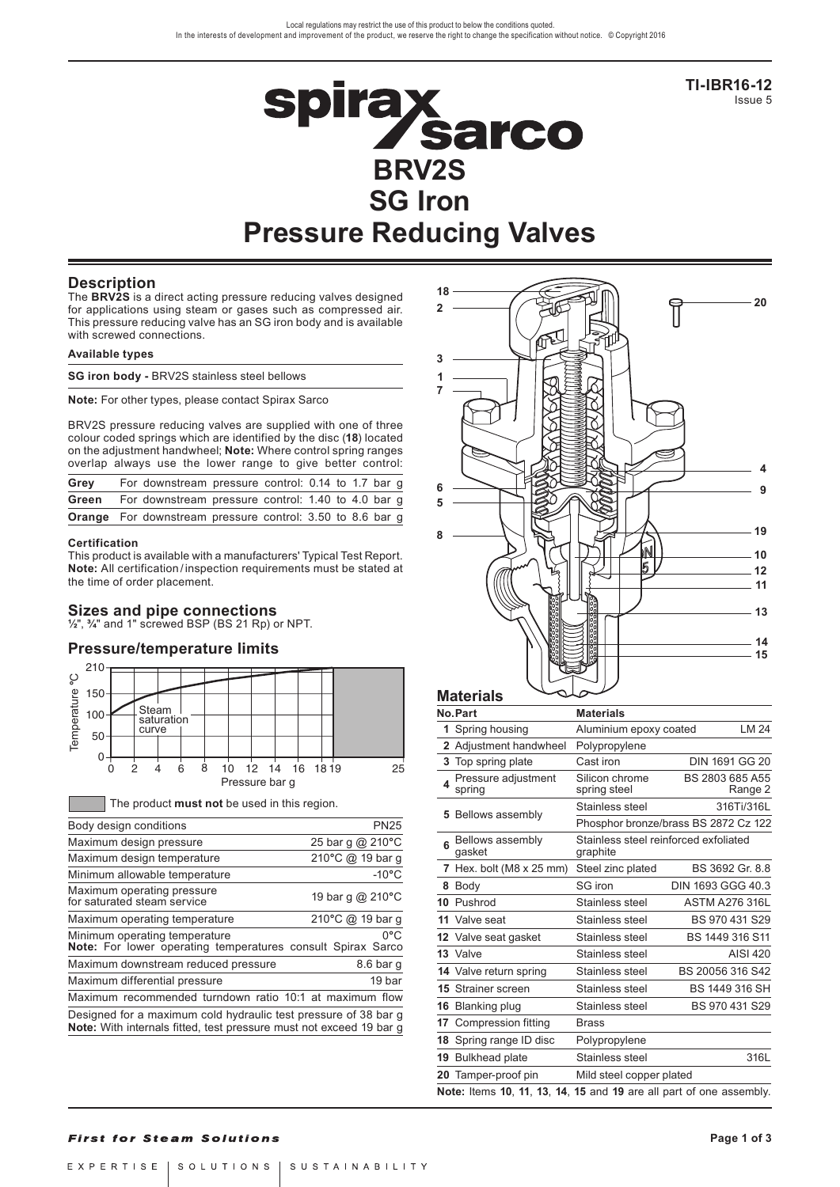**TI-IBR16-12** Issue 5

# **Spirax<br>BRV2S SG Iron Pressure Reducing Valves**

# **Description**

The **BRV2S** is a direct acting pressure reducing valves designed for applications using steam or gases such as compressed air. This pressure reducing valve has an SG iron body and is available with screwed connections.

### **Available types**

|  |  | SG iron body - BRV2S stainless steel bellows |  |  |
|--|--|----------------------------------------------|--|--|
|  |  |                                              |  |  |

**Note:** For other types, please contact Spirax Sarco

BRV2S pressure reducing valves are supplied with one of three colour coded springs which are identified by the disc (**18**) located on the adjustment handwheel; **Note:** Where control spring ranges overlap always use the lower range to give better control:

| Grey  | For downstream pressure control: 0.14 to 1.7 bar g               |  |  |  |  |
|-------|------------------------------------------------------------------|--|--|--|--|
| Green | For downstream pressure control: 1.40 to 4.0 bar g               |  |  |  |  |
|       | <b>Orange</b> For downstream pressure control: 3.50 to 8.6 bar g |  |  |  |  |

### **Certification**

This product is available with a manufacturers' Typical Test Report. **Note:** All certification / inspection requirements must be stated at the time of order placement.

**Sizes and pipe connections ½**", **¾**" and 1" screwed BSP (BS 21 Rp) or NPT.

# **Pressure/temperature limits**



| ့<br>Temperature                                                                                    | $150 -$<br>100 <sub>1</sub><br>50 <sup>1</sup>                                                                                         |  | Steam<br>curve                               | saturation |   |   |                      |    |    |    |      |                  |    |
|-----------------------------------------------------------------------------------------------------|----------------------------------------------------------------------------------------------------------------------------------------|--|----------------------------------------------|------------|---|---|----------------------|----|----|----|------|------------------|----|
|                                                                                                     | 0<br>0                                                                                                                                 |  | 2<br>4                                       |            | 6 | 8 | 10<br>Pressure bar q | 12 | 14 | 16 | 1819 |                  | 25 |
|                                                                                                     |                                                                                                                                        |  | The product must not be used in this region. |            |   |   |                      |    |    |    |      |                  |    |
| Body design conditions                                                                              |                                                                                                                                        |  |                                              |            |   |   |                      |    |    |    |      | <b>PN25</b>      |    |
| Maximum design pressure                                                                             |                                                                                                                                        |  |                                              |            |   |   |                      |    |    |    |      | 25 bar g @ 210°C |    |
| Maximum design temperature                                                                          |                                                                                                                                        |  |                                              |            |   |   |                      |    |    |    |      | 210°C @ 19 bar g |    |
| Minimum allowable temperature                                                                       |                                                                                                                                        |  |                                              |            |   |   |                      |    |    |    |      | $-10^{\circ}$ C  |    |
|                                                                                                     | Maximum operating pressure<br>19 bar g @ 210°C<br>for saturated steam service                                                          |  |                                              |            |   |   |                      |    |    |    |      |                  |    |
| Maximum operating temperature                                                                       |                                                                                                                                        |  |                                              |            |   |   |                      |    |    |    |      | 210°C @ 19 bar g |    |
| 0°C<br>Minimum operating temperature<br>Note: For lower operating temperatures consult Spirax Sarco |                                                                                                                                        |  |                                              |            |   |   |                      |    |    |    |      |                  |    |
| Maximum downstream reduced pressure<br>8.6 bar g                                                    |                                                                                                                                        |  |                                              |            |   |   |                      |    |    |    |      |                  |    |
| 19 bar<br>Maximum differential pressure                                                             |                                                                                                                                        |  |                                              |            |   |   |                      |    |    |    |      |                  |    |
|                                                                                                     | Maximum recommended turndown ratio 10:1 at maximum flow                                                                                |  |                                              |            |   |   |                      |    |    |    |      |                  |    |
|                                                                                                     | Designed for a maximum cold hydraulic test pressure of 38 bar g<br>Note: With internals fitted, test pressure must not exceed 19 bar g |  |                                              |            |   |   |                      |    |    |    |      |                  |    |



|    | Materials                                                           |                                                   |                                      |
|----|---------------------------------------------------------------------|---------------------------------------------------|--------------------------------------|
|    | No.Part                                                             | <b>Materials</b>                                  |                                      |
|    | 1 Spring housing                                                    | Aluminium epoxy coated                            | LM 24                                |
|    | 2 Adjustment handwheel                                              | Polypropylene                                     |                                      |
|    | 3 Top spring plate                                                  | Cast iron                                         | <b>DIN 1691 GG 20</b>                |
| 4  | Pressure adjustment<br>spring                                       | Silicon chrome<br>spring steel                    | BS 2803 685 A55<br>Range 2           |
|    | 5 Bellows assembly                                                  | Stainless steel                                   | 316Ti/316L                           |
|    |                                                                     |                                                   | Phosphor bronze/brass BS 2872 Cz 122 |
| 6  | Bellows assembly<br>qasket                                          | Stainless steel reinforced exfoliated<br>graphite |                                      |
| 7  | Hex. bolt ( $M8 \times 25$ mm)                                      | Steel zinc plated                                 | BS 3692 Gr. 8.8                      |
|    | 8 Body                                                              | SG iron                                           | DIN 1693 GGG 40.3                    |
|    | 10 Pushrod                                                          | Stainless steel                                   | <b>ASTM A276 316L</b>                |
|    | 11 Valve seat                                                       | Stainless steel                                   | BS 970 431 S29                       |
|    | <b>12</b> Valve seat gasket                                         | Stainless steel                                   | BS 1449 316 S11                      |
|    | 13 Valve                                                            | Stainless steel                                   | AISI 420                             |
|    | 14 Valve return spring                                              | Stainless steel                                   | BS 20056 316 S42                     |
|    | <b>15 Strainer screen</b>                                           | Stainless steel                                   | BS 1449 316 SH                       |
|    | 16 Blanking plug                                                    | Stainless steel                                   | BS 970 431 S29                       |
|    | 17 Compression fitting                                              | <b>Brass</b>                                      |                                      |
| 18 | Spring range ID disc                                                | Polypropylene                                     |                                      |
| 19 | <b>Bulkhead plate</b>                                               | Stainless steel                                   | 316L                                 |
| 20 | Tamper-proof pin                                                    | Mild steel copper plated                          |                                      |
|    | Note: Items 10, 11, 13, 14, 15 and 19 are all part of one assembly. |                                                   |                                      |

# **First for Steam Solutions**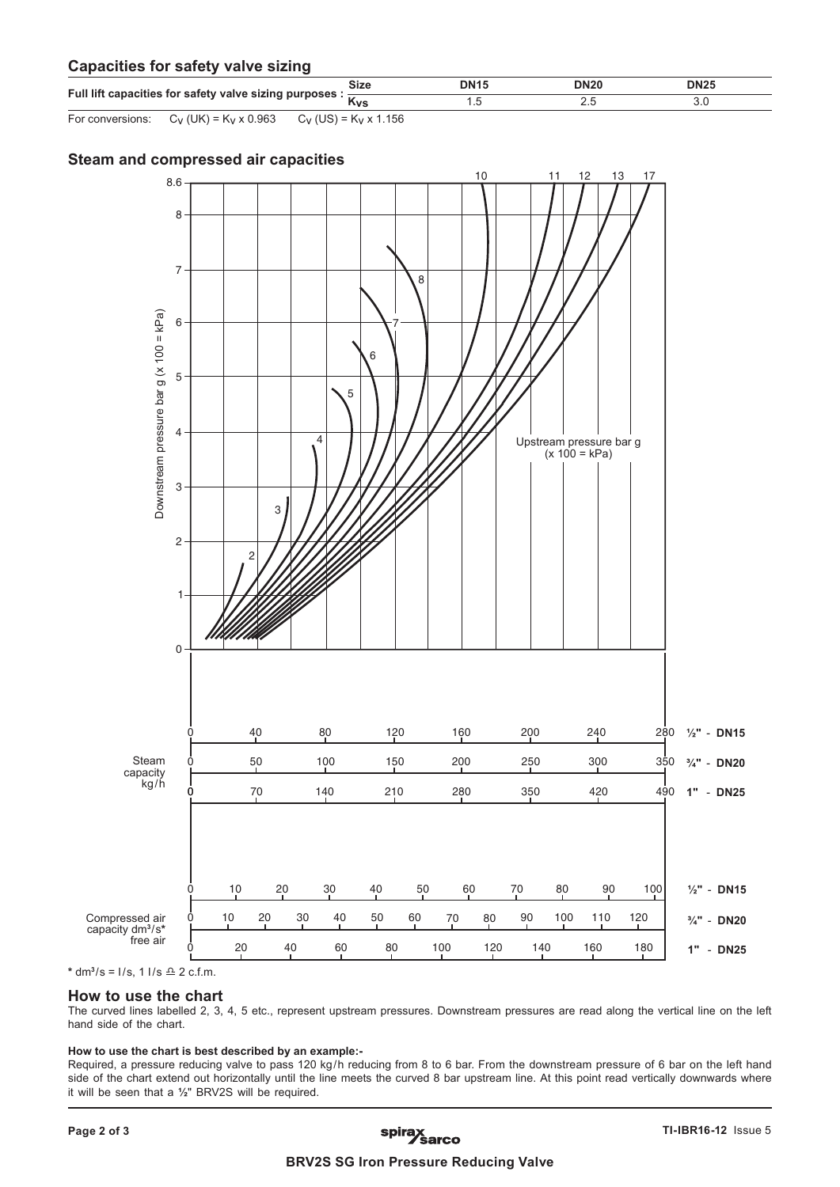# **Capacities for safety valve sizing**

| Full lift capacities for safety valve sizing purposes : | <b>Size</b>                | <b>DN15</b> | <b>DN20</b> | <b>DN25</b> |  |
|---------------------------------------------------------|----------------------------|-------------|-------------|-------------|--|
|                                                         | Kvs                        |             |             |             |  |
| For conversions: $C_V$ (UK) = $K_V$ x 0.963             | $C_V$ (US) = $K_V$ x 1.156 |             |             |             |  |

# **Steam and compressed air capacities**



 $*$  dm<sup>3</sup>/s = I/s, 1 I/s  $\triangle$  2 c.f.m.

# **How to use the chart**

The curved lines labelled 2, 3, 4, 5 etc., represent upstream pressures. Downstream pressures are read along the vertical line on the left hand side of the chart.

### **How to use the chart is best described by an example:-**

Required, a pressure reducing valve to pass 120 kg/h reducing from 8 to 6 bar. From the downstream pressure of 6 bar on the left hand side of the chart extend out horizontally until the line meets the curved 8 bar upstream line. At this point read vertically downwards where it will be seen that a 1/2" BRV2S will be required.